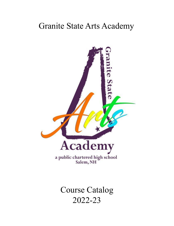# Granite State Arts Academy



Course Catalog 2022-23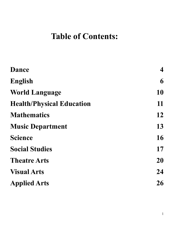# **Table of Contents:**

| <b>Dance</b>                     | $\overline{\mathbf{4}}$ |
|----------------------------------|-------------------------|
| English                          | 6                       |
| <b>World Language</b>            | 10                      |
| <b>Health/Physical Education</b> | 11                      |
| <b>Mathematics</b>               | 12                      |
| <b>Music Department</b>          | 13                      |
| <b>Science</b>                   | 16                      |
| <b>Social Studies</b>            | 17                      |
| <b>Theatre Arts</b>              | 20                      |
| <b>Visual Arts</b>               | 24                      |
| <b>Applied Arts</b>              | 26                      |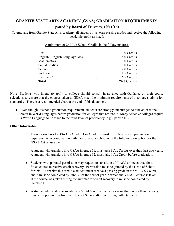## **GRANITE STATE ARTS ACADEMY (GSAA) GRADUATION REQUIREMENTS (voted by Board of Trustees, 10/11/16)**

To graduate from Granite State Arts Academy all students must earn passing grades and receive the following academic credit as listed:

A minimum of 26 High School Credits in the following areas

| Arts                            | 6.0 Credits  |
|---------------------------------|--------------|
| English / English Language Arts | 4.0 Credits  |
| Mathematics                     | 3.0 Credits  |
| <b>Social Studies</b>           | 3.0 Credits  |
| Science                         | 2.0 Credits  |
| Wellness                        | 1.5 Credits  |
| Electives <sup>*</sup>          | 6.5 Credits  |
| <b>Total</b>                    | 26.0 Credits |

**Note-** Students who intend to apply to college should consult in advance with Guidance on their course selections to ensure that the courses taken at GSAA meet the minimum requirements of a college's admission standards. There is a recommended chart at the end of this document.

• Even though it is not a graduation requirement, students are strongly encouraged to take at least one credit in World Languages before graduation for colleges that require it. Many selective colleges require a World Language to be taken to the third level of proficiency (e.g. Spanish III)

## **Other Information**

- Transfer students to GSAA in Grade 11 or Grade 12 must meet these above graduation requirements in combination with their previous school with the following exception for the GSAAArt requirement.
- A student who transfers into GSAA in grade 11, must take 3 Art Credits over their last two years. A student who transfers into GSAA in grade 12, must take 1 Art Credit before graduation.
- Students with parental permission may request to substitute a VLACS online course for a failed course to receive credit recovery. Permission must be granted by the Head of School for this. To receive this credit, a student must receive a passing grade in the VLACS Course and it must be completed by June 30 of the school year in which the VLACS course is taken. If the course was taken during the summer for credit recovery, it must be completed by October 1.
- A student who wishes to substitute a VLACS online course for something other than recovery must seek permission from the Head of School after consulting with Guidance.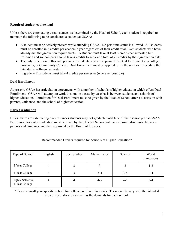## **Required student course load**

Unless there are extenuating circumstances as determined by the Head of School, each student is required to maintain the following to be considered a student at GSAA:

- A student must be actively present while attending GSAA. No part-time status is allowed. All students must be enrolled in 6 credits per academic year regardless of their credit total. Even students who have already met the graduation requirements. A student must take at least 3 credits per semester, but freshmen and sophomores should take 4 credits to achieve a total of 26 credits by their graduation date.
- The only exception to this rule pertains to students who are approved for Dual Enrollment at a college, university, or Community College. Dual Enrollment must be applied for in the semester preceding the intended enrollment semester.
- In grade 9-11, students must take 4 credits per semester (wherever possible).

## **Dual Enrollment**

At present, GSAA has articulation agreements with a number of schools of higher education which offers Dual Enrollment. GSAA will attempt to work this out on a case-by-case basis between students and schools of higher education. Permission for Dual Enrollment must be given by the Head of School after a discussion with parents, Guidance, and the school of higher education.

## **Early Graduation**

Unless there are extenuating circumstances students may not graduate until June of their senior year at GSAA. Permission for early graduation must be given by the Head of School with an extensive discussion between parents and Guidance and then approved by the Board of Trustees.

| Type of School                            | English | Soc. Studies | Mathematics | Science | World<br>Languages |
|-------------------------------------------|---------|--------------|-------------|---------|--------------------|
| 2-Year College                            | 4       |              |             |         | $1 - 2$            |
| 4-Year College                            | 4       |              | $3 - 4$     | $3 - 4$ | $2 - 4$            |
| <b>Highly Selective</b><br>4-Year College | 4       | 4            | $4 - 5$     | $4 - 5$ | $3 - 4$            |

Recommended Credits required for Schools of Higher Education\*

\*Please consult your specific school for college credit requirements. These credits vary with the intended area of specialization as well as the demands for each school.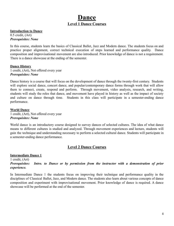## **Dance Level 1 Dance Courses**

## <span id="page-4-0"></span>**Introduction to Dance**

0.5 credit, (Art) *Prerequisites: None*

In this course, students learn the basics of Classical Ballet, Jazz and Modern dance. The students focus on and practice proper alignment, correct technical execution of steps learned and performance quality. Dance composition and improvisational movement are also introduced. Prior knowledge of dance is not a requirement. There is a dance showcase at the ending of the semester.

#### **Dance History**

1 credit, (Art), Not offered every year *Prerequisites: None*

Dance history is a course that will focus on the development of dance through the twenty-first century. Students will explore social dance, concert dance, and popular/contemporary dance forms through work that will allow them to connect, create, respond and perform. Through movement, video analysis, research, and writing, students will study the roles that dance, and movement have played in history as well as the impact of society and culture on dance through time. Students in this class will participate in a semester-ending dance performance.

#### **World Dance** 1 credit, (Art), Not offered every year *Prerequisites: None*

World dance is an introductory course designed to survey dances of selected cultures. The idea of what dance means to different cultures is studied and analyzed. Through movement experiences and lecture, students will gain the technique and understanding necessary to perform a selected cultural dance. Students will participate in a semester-ending dance performance.

## **Level 2 Dance Courses**

## **Intermediate Dance 1**

1 credit, (Art) *Prerequisites: Intro. to Dance or by permission from the instructor with a demonstration of prior experience.*

In Intermediate Dance 1 the students focus on improving their technique and performance quality in the disciplines of Classical Ballet, Jazz, and Modern dance. The students also learn about various concepts of dance composition and experiment with improvisational movement. Prior knowledge of dance is required. A dance showcase will be performed at the end of the semester.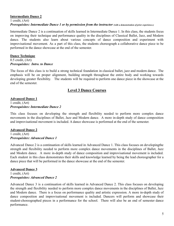## **Intermediate Dance 2**

## 1 credit, (Art) *Prerequisites: Intermediate Dance 1 or by permission from the instructor (with <sup>a</sup> demonstration of prior experience.)*

Intermediate Dance 2 is a continuation of skills learned in Intermediate Dance 1. In this class, the students focus on improving their technique and performance quality in the disciplines of Classical Ballet, Jazz, and Modern dance. The students also learn about various concepts of dance composition and experiment with improvisational movement. As a part of this class, the students choreograph a collaborative dance piece to be performed in the dance showcase at the end of the semester.

## **Dance Technique** 0.5 credit, (Art)

## *Prerequisites: Intro. to Dance*

The focus of this class is to build a strong technical foundation in classical ballet, jazz and modern dance. The emphasis will be on proper alignment, building strength throughout the entire body and working towards developing greater flexibility. The students will be required to perform one dance piece in the showcase at the end of the semester.

## **Level 3 Dance Courses**

#### **Advanced Dance 1** 1 credit, (Art) *Prerequisites: Intermediate Dance 2*

This class focuses on developing the strength and flexibility needed to perform more complex dance movements in the disciplines of Ballet, Jazz and Modern dance. A more in-depth study of dance composition and improvisational movement is included. A dance showcase is performed at the end of the semester.

## **Advanced Dance 2**

## 1 credit, (Art) *Prerequisites: Advanced Dance 1*

Advanced Dance 2 is a continuation of skills learned in Advanced Dance 1. This class focuses on developingthe strength and flexibility needed to perform more complex dance movements in the disciplines of Ballet, Jazz and Modern dance. A more in-depth study of dance composition and improvisational movement is included. Each student in this class demonstrates their skills and knowledge learned by being the lead choreographer for a dance piece that will be performed in the dance showcase at the end of the semester.

## **Advanced Dance 3**

1 credit, (Art) *Prerequisites: Advanced Dance 2*

Advanced Dance 3 is a continuation of skills learned in Advanced Dance 2. This class focuses on developing the strength and flexibility needed to perform more complex dance movements in the disciplines of Ballet, Jazz and Modern dance. There is a focus on performance quality and artistic expression. A more in-depth study of dance composition and improvisational movement is included. Dancers will perform and showcase their student-choreographed pieces in a performance for the school. There will also be an end of semester dance performance.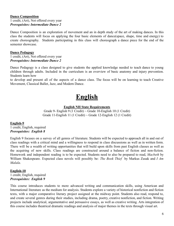#### **Dance Composition**

1 credit, (Art), Not offered every year *Prerequisites: Intermediate Dance 2*

Dance Composition is an exploration of movement and an in depth study of the art of making dances. In this class the students will focus on applying the four basic elements of dance(space, shape, time and energy) to create choreography. Students participating in this class will choreograph a dance piece for the end of the semester showcase.

#### **Dance Pedagogy**

1 credit, (Art), Not offered every year *Prerequisites: Intermediate Dance 2*

Dance Pedagogy is a class designed to give students the applied knowledge needed to teach dance to young children through adults. Included in the curriculum is an overview of basic anatomy and injury prevention. Students learn how

<span id="page-6-0"></span>to develop and present all of the aspects of a dance class. The focus will be on learning to teach Creative Movement, Classical Ballet, Jazz, and Modern Dance.

# **English**

## **English NH State Requirements**

Grade 9- English 9 (1 Credit)  $\sim$  Grade 10-English 10 (1 Credit) Grade 11-English 11 (1 Credit)  $\sim$  Grade 12-English 12 (1 Credit)

## **English-9**

1 credit, English, required *Prerequisites: English 8*

English 9 focuses on a survey of all genres of literature. Students will be expected to approach all in and out of class readings with a critical mind and a willingness to respond in class discussions as well as in written form. There will be a wealth of writing opportunities that will build upon skills from past English classes as well as the acquiring of new skills. Class readings are constructed around a balance of fiction and non-fiction. Homework and independent reading is to be expected. Students need to also be prepared to read, *Macbeth* by William Shakespeare. Expected class novels will possibly be: *The Book Thief* by Markus Zusak and *I Am Malala*.

#### **English-10** 1 credit, English, required *Prerequisites: English 9*

This course introduces students to more advanced writing and communication skills, using American and International literature as the medium for analysis. Students explore a variety of historical nonfiction and fiction texts, with a major comparative literary project assigned at the midway point. Students also read, respond to, and create several genres during their studies, including drama, poetry, creative nonfiction, and fiction. Writing projects include analytical, argumentative and persuasive essays, as well as creative writing. Arts integration of this course includes theatrical dramatic readings and analysis of major themes in the texts through visual art.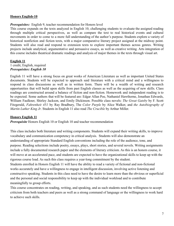## **Honors English-10**

#### *Prerequisites:* English 9, teacher recommendation for Honors level

This course expands on the texts analyzed in English 10, challenging students to evaluate the assigned reading through multiple critical perspectives, as well as compare the text to real historical events and cultural movements in order to come to a more full understanding of the author's purpose. Students explore a variety of historical nonfiction and fiction texts, with a major comparative literary project assigned at the midway point. Students will also read and respond to extension texts to explore important themes across genres. Writing projects include analytical, argumentative and persuasive essays, as well as creative writing. Arts integration of this course includes theatrical dramatic readings and analysis of major themes in the texts through visual art.

#### **English 11** 1 credit, English, required *Prerequisites: English 10*

English 11 will have a strong focus on great works of American Literature as well as important United States documents. Students will be expected to approach said literature with a critical mind and a willingness to respond in class discussions as well as in written form. There will be a wealth of writing and research opportunities that will build upon skills from past English classes as well as the acquiring of new skills. Class readings are constructed around a balance of fiction and non-fiction. Homework and independent reading is to be expected. Some authors that will be featured are: Edgar Allan Poe, Nathaniel Hawthorne, Jonathan Edwards, William Faulkner, Shirley Jackson, and Emily Dickinson. Possible class novels: *The Great Gatsby* by F. Scott Fitzgerald, *Fahrenheit 451* by Ray Bradbury, The *Color Purple* by Alice Walker, and *the Autobiography of Martin Luther King Jr*. Students in English 11 also read *The Crucible* by Arthur Miller.

## **Honors English 11**

*Prerequisite* Honors English 10 or English 10 and teacher recommendation

This class includes both literature and writing components. Students will expand their writing skills, to improve vocabulary and communication competency in critical analysis. Students will also demonstrate an understanding of appropriate Standard English conventions including the role of the audience, tone, and purpose. Reading selections include poetry, essays, plays, short stories, and several novels. Writing assignments include a fully documented research paper and the elements of literary criticism. As this is an honors course, it will move at an accelerated pace, and students are expected to have the organizational skills to keep up with the rigorous course load. As such this class requires a year-long commitment by the student. Students enrolled in Honors English 11 will have the ability to read a variety of fictional and non-fictional works accurately and have a willingness to engage in intelligent discussion, involving active listening and constructive speaking. Students in this class need to have the desire to learn more than the obvious or superficial and the personal and social responsibility to keep up with the individual workload and to contribute meaningfully to group efforts.

This course concentrates on reading, writing, and speaking, and as such students need the willingness to accept criticism from both teachers and peers as well as a strong command of language or the willingness to work hard to achieve such skills.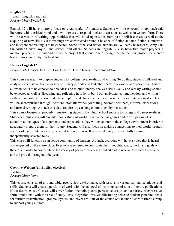## **English 12** 1 credit, English, required *Prerequisites: English 11*

English 12 will have a strong focus on great works of literature. Students will be expected to approach said literature with a critical mind and a willingness to respond in class discussions as well as in written form. There will be a wealth of writing opportunities that will build upon skills from past English classes as well as the acquiring of new skills. Class readings are constructed around a balance of fiction and non-fiction. Homework and independent reading is to be expected. Some of the said fiction authors are: William Shakespeare, Amy Tan, Sir Arhtur Conan Doyle, Jane Austen, and others. Students in English 12 also have two major projects, a memoir project in the fall and the senior project that is due in late spring. For the memoir project, the mentor text is *Into Thin Air* by Jon Krakauer.

## **Honors English 12**

*Prerequisite* Honors English 11 or English 11 with teacher recommendation

This course is meant to prepare students for college-level reading and writing. To do this, students will read and analyze texts that are from a variety of literary periods and texts that speak to a variety of experiences. This will allow students to be exposed to new ideas and to build literary analysis skills. Daily and weekly writing should be expected as well as discussing and reflecting in order to build our analytical, communication, and writing skills and in doing so, allow students to explore and challenge the ideas presented in said literary works. This will be accomplished through literature, dramatic works, journaling, Socratic seminars, informal discussions, and formal writing. As such this class requires a year-long commitment by the student.

This course focuses on properly transitioning students from high school success to college and career readiness. Students in this class will embark upon a study of world literature across genres and forms, paying close attention to the types of assignments and expectations they will encounter in the college environment in order to adequately prepare them for their future. Students will also focus on making connections to their world through a series of careful literary analyses and discussions, as well as several essays that carefully examine independently selected texts.

This class will function as an active community of learners. As such, everyone will have a voice that is heard and respected by the entire class. Everyone is required to contribute their thoughts, ideas, work, and goals with the class in order to contribute to the variety of perspectives being studied and to receive feedback to enhance and aid growth throughout the year.

#### **Creative Writing (an English elective)** 1 credit *Prerequisites: None*

This course consists of a round-table, peer review environment, with lessons in various writing techniques and skills. Students will create a portfolio of work with the end goal of inspiring submission to literary publications if the desire exists. Classes will cover fiction, memoir, poetry, persuasive essays, and a variety of expressive forms traditional with the area of study. Arts integration involves illustrating selected student-generated texts for further dissemination, graphic layouts, and cover art. Part of the course will include a core Writer's Group to support young authors.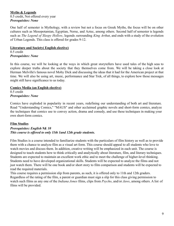## **Myths & Legends** 0.5 credit, Not offered every year *Prerequisites: None*

One half of semester is Mythology, with a review but not a focus on Greek Myths, the focus will be on other cultures such as Mesopotamian, Egyptian, Norse, and Aztec, among others. Second half of semester is legends such as *The Legend of Sleepy Hollow*, legends *s*urrounding *King Arthu*r, and ends with a study of the evolution of Urban Legends. This class is offered for grades 9-12.

## **Literature and Society( English elective)**

0.5 credit *Prerequisites: None*

In this course, we will be looking at the ways in which great storytellers have used tales of the high seas to explore deeper truths about the society that they themselves come from. We will be taking a close look at Herman Melville's famous novel Moby Dick and discussing the ideas that it had for the American project at that time. We will also be using art, music, performance and Star Trek, of all things, to explore how those messages might still have significance to us today.

## **Comics Media (an English elective)**

0.5 credit *Prerequisites: None*

Comics have exploded in popularity in recent years, redefining our understanding of both art and literature. Read "Understanding Comics," "MAUS" and other acclaimed graphic novels and short-form comics, analyze the techniques that comics use to convey action, drama and comedy, and use these techniques in making your own short-form comics.

## **Film Studies**

## *Prerequisites: English 9& 10 This course is offered to only 11th 1and 12th grade students.*

Film Studies is a course intended to familiarize students with the particulars of film history as well as to provide them with a chance to analyze film as a visual art form. This course should appeal to all students who love to watch movies and discuss them. In addition, creative writing will be emphasized in each unit. The course is designed to teach students how to think critically and analytically about literature, film, and literary techniques. Students are expected to maintain an excellent work ethic and to meet the challenge of higher-level thinking. Students need to have developed organizational skills. Students will be expected to analyze the films and not just watch them. There will be one book and/or short story to film comparison and students will be expected to read the required materials.

This course requires a permission slip from parents, as such, it is offered only to 11th and 12th graders. Regardless of the rating of the film, a parent or guardian must sign a slip for this class giving permission to watch such films as any one of the *Indiana Jones* films, clips from *Psycho*, and/or *Jaws*, among others. A list of films will be provided.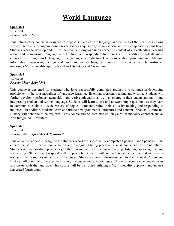# **World Language**

#### <span id="page-10-0"></span>**Spanish 1** 1.0 credit *Prerequisites: None*

This introductory course is designed to expose students to the language and cultures of the Spanish-speaking world. There is a strong emphasis on vocabulary acquisition, pronunciation, and verb conjugation at this level. Students learn to develop and utilize the Spanish Language in an academic context of understanding, learning about and comparing Language and Culture, and responding to inquiries. In addition, students make connections through world language by engaging in introductory level conversation, providing and obtaining information, expressing feelings and emotions, and exchanging opinions. This course will be instructed utilizing a Multi-modality approach and an Arts Integrated Curriculum.

## **Spanish 2**

#### 1.0 credit *Prerequisites: Spanish 1*

This course is designed for students who have successfully completed Spanish 1 to continue in developing proficiency in the four modalities of language learning: listening, speaking, reading and writing. Students will further develop vocabulary acquisition and verb conjugation as well as emerge in their understanding of, and interpreting spoken and written language. Students will learn to ask and answer simple questions as they learn to communicate about a wide variety of topics. Students refine their skills by making and responding to inquiries. In addition, students learn and utilize new grammatical structures and content. Spanish Culture and History will continue to be explored. This course will be instructed utilizing a Multi-modality approach and an Arts Integrated Curriculum.

## **Spanish 3**

## 1.0 credit *Prerequisites: Spanish 1 & Spanish 2*

This advanced course is designed for students who have successfully completed Spanish 1 and Spanish 2. The course focuses on Spanish conversation and dialogue utilizing practical Spanish and scenes of life narratives. Students will demonstrate proficiency in the four modalities of language learning: listening, speaking, reading, and writing. Students will respond orally to prompts. Students will comprehend authentic material and various text and media sources in the Spanish language. Students present information and topics. Spanish Culture and History will continue to be explored through language and open dialogue. Students become independent users and create with the language. This course will be instructed utilizing a Multi-modality approach and an Arts Integrated Curriculum.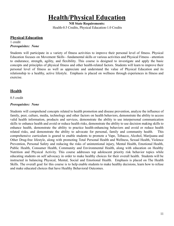# **Health/Physical Education**

**NH State Requirements:** Health-0.5 Credits, Physical Education-1.0 Credits

<span id="page-11-0"></span>**Physical Education**

1 credit *Prerequisites: None*

Students will participate in a variety of fitness activities to improve their personal level of fitness. Physical Education focuses on Movement Skills - fundamental skills or various activities and Physical Fitness - attention to endurance, strength, agility, and flexibility. This course is designed to investigate and apply the basic concepts and principles of physical fitness and other health-related factors. Students will learn to improve their personal level of fitness as well as appreciate and understand the value of Physical Education and its relationship to a healthy, active lifestyle. Emphasis is placed on wellness through experiences in fitness and exercise.

## **Health**

0.5 credit

## *Prerequisites: None*

Students will comprehend concepts related to health promotion and disease prevention, analyze the influence of family, peer, culture, media, technology and other factors on health behaviors, demonstrate the ability to access valid health information, products and services, demonstrate the ability to use interpersonal communication skills to enhance health and avoid or reduce health risks, demonstrate the ability to use decision making skills to enhance health, demonstrate the ability to practice health-enhancing behaviors and avoid or reduce health related risks, and demonstrate the ability to advocate for personal, family and community health. This comprehensive curriculum is geared to enable students to promote a Vape, Tobacco, Alcohol, Marijuana and Other Drug-free lifestyle, along with promoting Total Personal Health and Wellness, Sexual Health, Violence Prevention, Personal Safety and reducing the risks of unintentional injury, Mental Health, Emotional Health, Public Health, Consumer Health, Community and Environmental Health, along with education on Healthy Nutrition and Physical Activity. This course addresses top adolescent priority risk behavior topics while educating students on self advocacy in order to make healthy choices for their overall health. Students will be instructed in balancing Physical, Mental, Social and Emotional Health. Emphasis is placed on The Health Skills. The overall goal for this course is to help enable students to make healthy decisions, learn how to refuse and make educated choices that have Healthy Behavioral Outcomes.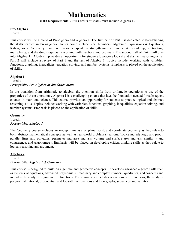## **Mathematics**

#### **Math Requirement:** 3 Full Credits of Math (must include Algebra 1)

## <span id="page-12-0"></span>**Pre-Algebra**

1 credit

This course will be a blend of Pre-algebra and Algebra 1. The first half of Part 1 is dedicated to strengthening the skills learned in Pre-Algebra. Topics could include Real Numbers, Algebraic Expressions & Equations, Ratios, some Geometry, Time will also be spent on strengthening arithmetic skills (adding, subtracting, multiplying, and dividing), especially working with fractions and decimals. The second half of Part 1 will dive into Algebra 1. Algebra 1 provides an opportunity for students to practice logical and abstract reasoning skills. Part 2 will include a review of Part 1 and the rest of Algebra 1. Topics include: working with variables, functions, graphing, inequalities, equation solving, and number systems. Emphasis is placed on the application of skills.

## **Algebra 1**

1 credit *Prerequisite: Pre-Algebra or 8th Grade Math*

In the transition from arithmetic to algebra, the attention shifts from arithmetic operations to use of the properties of these operations. Algebra I is a challenging course that lays the foundation needed for subsequent courses in math and science. This course provides an opportunity for students to practice logical and abstract reasoning skills. Topics include: working with variables, functions, graphing, inequalities, equation solving, and number systems. Emphasis is placed on the application of skills.

**Geometry**

#### 1 credit *Prerequisite: Algebra 1*

The Geometry course includes an in-depth analysis of plane, solid, and coordinate geometry as they relate to both abstract mathematical concepts as well as real-world problem situations. Topics include logic and proof, parallel lines and polygons, perimeter and area analysis, volume and surface area analysis, similarity and congruence, and trigonometry. Emphasis will be placed on developing critical thinking skills as they relate to logical reasoning and argument.

## **Algebra 2**

1 credit *Prerequisite: Algebra 1 & Geometry*

This course is designed to build on algebraic and geometric concepts. It develops advanced algebra skills such as systems of equations, advanced polynomials, imaginary and complex numbers, quadratics, and concepts and includes the study of trigonometric functions. The course also includes operations with functions; the study of polynomial, rational, exponential, and logarithmic functions and their graphs; sequences and variation.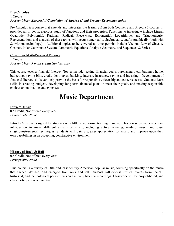## **Pre-Calculus**

## 1 Credits *Prerequisites: Successful Completion of Algebra II and Teacher Recommendation*

Pre-Calculus is a course that extends and integrates the learning from both Geometry and Algebra 2 courses. It provides an in-depth, rigorous study of functions and their properties. Functions to investigate include Linear, Quadratic, Polynomial, Rational, Radical, Piece-wise, Exponential, Logarithmic, and Trigonometric. Representations and analysis of these topics will occur numerically, algebraically, and/or graphically (both with & without technology). Additional topics to be covered as time permits include Vectors, Law of Sines  $\&$ Cosines, Polar Coordinate System, Parametric Equations, Analytic Geometry, and Sequences & Series.

## **Consumer Math/Personal Finance**

#### 1 Credits *Prerequisites: 3 math credits/Seniors only*

This course teaches financial literacy. Topics include: setting financial goals, purchasing a car, buying a home, budgeting, paying bills, credit, debt, taxes, banking, interest, insurance, saving and investing. Development of financial literacy skills can help provide the basis for responsible citizenship and career success. Students learn skills in creating budgets, developing long-term financial plans to meet their goals, and making responsible choices about income and expenses.

# **Music Department**

## <span id="page-13-0"></span>**Intro to Music**

0.5 Credit, Not offered every year *Prerequisite: None*

Intro to Music is designed for students with little to no formal training in music. This course provides a general introduction to many different aspects of music, including active listening, reading music, and basic singing/instrumental techniques. Students will gain a greater appreciation for music and improve upon their own capabilities in an accepting, constructive environment.

**History of Rock & Roll** 0.5 Credit, Not offered every year *Prerequisite: None*

This course is a survey of 20th and 21st century American popular music, focusing specifically on the music that shaped, defined, and emerged from rock and roll. Students will discuss musical events from social , historical, and technological perspectives and actively listen to recordings. Classwork will be project-based, and class participation is essential.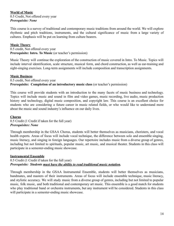## **World of Music**

0.5 Credit, Not offered every year *Prerequisite: None*

This course is a survey of traditional and contemporary music traditions from around the world. We will explore rhythmic and pitch traditions, instruments, and the cultural significance of music from a large variety of cultures. Emphasis will be put on learning from culture bearers.

## **Music Theory**

0.5 credit, Not offered every year **Prerequisite: Intro. To Music** (or teacher's permission)

Music Theory will continue the exploration of the construction of music covered in Intro. To Music. Topics will include interval identification, scale structure, musical form, and chord construction, as well as ear-training and sight-singing exercises. Long-term assignments will include composition and transcription assignments.

## **Music Business**

0.5 credit, Not offered every year **Prerequisite: Completion of an introductory music class** (or teacher's permission)

This course will provide students with an introduction to the many facets of music business and technology. Topics will include music and sound in film and video games, music recording, live audio, music production history and technology, digital music composition, and copyright law. This course is an excellent choice for students who are considering a future career in music related fields, or who would like to understand more about the music and sound industry's influence on our daily lives.

## **Chorus**

0.5 Credit (1 Credit if taken for the full year) *Prerequisites: None*

Through membership in the GSAA Chorus, students will better themselves as musicians, choristers, and vocal health experts. Areas of focus will include vocal technique, the difference between solo and ensemble singing, music literacy, and singing in foreign languages. Our repertoire includes music from a diverse group of genres, including but not limited to spirituals, popular music, art music, and musical theater. Students in this class will participate in a semester-ending music showcase.

## **Instrumental Ensemble**

0.5 Credit (1 Credit if taken for the full year) *Prerequisite: Students must have the ability to read traditional music notation.*

Through membership in the GSAA Instrumental Ensemble, students will better themselves as musicians, bandmates, and masters of their instruments. Areas of focus will include ensemble technique, music literacy, and stylistic accuracy. We will study music from a diverse group of genres, including but not limited to popular music, folk music, and both traditional and contemporary art music. This ensemble is a good match for students who play traditional band or orchestra instruments, but any instrument will be considered. Students in this class will participate in a semester-ending music showcase.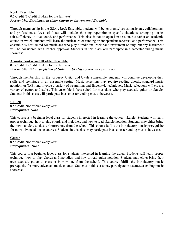## **Rock Ensemble**

## 0.5 Credit (1 Credit if taken for the full year) *Prerequisite: Enrollment in either Chorus or Instrumental Ensemble*

Through membership in the GSAA Rock Ensemble, students will better themselves as musicians, collaborators, and professionals. Areas of focus will include choosing repertoire in specific situations, arranging music, self-sufficiency in live sound, and performance. This class is not an open jam session, but rather an academic course in which students will learn the intricacies of running an independent rehearsal and performance. This ensemble is best suited for musicians who play a traditional rock band instrument or sing, but any instrument will be considered with teacher approval. Students in this class will participate in a semester-ending music showcase.

## **Acoustic Guitar and Ukulele Ensemble**

## 0.5 Credit (1 Credit if taken for the full year) *Prerequisite: Prior completion of Guitar or Ukulele* (or teacher's permission)

Through membership in the Acoustic Guitar and Ukulele Ensemble, students will continue developing their skills and technique in an ensemble setting. Music selections may require reading chords, standard music notation, or TAB, and involve a variety of strumming and fingerstyle techniques. Music selections will cross a variety of genres and styles. This ensemble is best suited for musicians who play acoustic guitar or ukulele. Students in this class will participate in a semester-ending music showcase.

## **Ukulele**

0.5 Credit, Not offered every year **Prerequisite: None**

This course is a beginner-level class for students interested in learning the concert ukulele. Students will learn proper technique, how to play chords and melodies, and how to read ukulele notation. Students may either bring their own ukulele to class or borrow one from the school. This course fulfills the introductory music prerequisite for more advanced music courses. Students in this class may participate in a semester-ending music showcase.

## **Guitar**

0.5 Credit, Not offered every year **Prerequisite: None**

This course is a beginner-level class for students interested in learning the guitar. Students will learn proper technique, how to play chords and melodies, and how to read guitar notation. Students may either bring their own acoustic guitar to class or borrow one from the school. This course fulfills the introductory music prerequisite for more advanced music courses. Students in this class may participate in a semester-ending music showcase.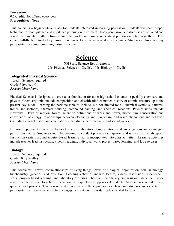## **Percussion** 0.5 Credit, Not offered every year **Prerequisite: None**

<span id="page-16-0"></span>This course is a beginner-level class for students interested in learning percussion. Students will learn proper technique for both pitched and unpitched percussion instruments, body percussion, creative uses of recycled and found instruments, rhythms from around the world, and how to understand percussion notation methods. This course fulfills the introductory music prerequisite for more advanced music courses. Students in this class may participate in a semester-ending music showcase.

## **Science**

## **NH State Science Requirements**

9th- Physical Science (1 Credit), 10th- Biology (1 Credit)

## **Integrated Physical Science**

1 credit, Science, required Grade 9 (typically) *Prerequisites: None*

Physical Science is designed to serve as a foundation for other high school courses, especially chemistry and physics. Chemistry units include composition and classification of matter, history of atomic structure up to the present day model, learning the periodic table to include, but not limited to: all chemical symbols, patterns, trends and isotopes, chemical bonding, compound naming, and chemical reactions. Physics units include Newton's 3 laws of motion, forces, scientific definitions of work and power, momentum, conservation and conversions of energy, relationships between electricity and magnetism, and wave phenomena and behavior (including characteristics and calculations) including electromagnetic and sound waves.

Because experimentation is the basis of science, laboratory demonstrations and investigations are an integral part of this course. Students should be prepared to conduct projects each quarter and write a formal lab report. Instruction centers around inquiry-based learning that is incorporated into class activities. Learning activities include teacher-lead instruction, videos, readings, individual work, project-based learning, and lab exercises.

## **Biology**

1 credit, Science, required Grade 10 (typically) *Prerequisites: None*

This course will cover: interrelationships of living things, levels of biological organization, cellular biology, biochemistry, genetics, and evolution. Learning activities include lecture, videos, discussions, independent work, project- based learning, and laboratory exercises. There will be a heavy emphasis on independent work and research in order to achieve the autonomy expected of upper-level students. Assessments include: tests, quizzes, and projects. This course is designed as a college preparatory class, and students are expected to participate in all activities and actively engage and ask questions during teacher-led lectures.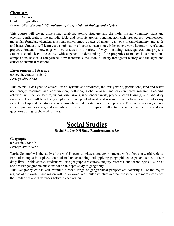## **Chemistry**

1 credit, Science Grade 11 (typically) *Prerequisites: Successful Completion of Integrated and Biology and Algebra*

This course will cover: dimensional analysis, atomic structure and the mole, nuclear chemistry, light and electron configuration, the periodic table and periodic trends, bonding, nomenclature, percent composition, molecular formulas, chemical reactions, stoichiometry, states of matter, gas laws, thermochemistry, and acids and bases. Students will learn via a combination of lecture, discussions, independent work, laboratory work, and projects. Students' knowledge will be assessed in a variety of ways including: tests, quizzes, and projects. Students should leave the course with a general understanding of the properties of matter, its structure and composition, how it is categorized, how it interacts, the Atomic Theory throughout history, and the signs and causes of chemical reactions.

## **Environmental Science**

0.5 credit, Grades 11 & 12 *Prerequisite: None*

This course is designed to cover: Earth's systems and resources, the living world, populations, land and water use, energy resources and consumption, pollution, global change, and environmental research. Learning activities will include lecture, videos, discussions, independent work, project- based learning, and laboratory exercises. There will be a heavy emphasis on independent work and research in order to achieve the autonomy expected of upper-level students. Assessments include: tests, quizzes, and projects. This course is designed as a college preparatory class, and students are expected to participate in all activities and actively engage and ask questions during teacher-led lectures.

## **Social Studies Social Studies NH State Requirements is 3.0**

## <span id="page-17-0"></span>**Geography**

0.5 credit, Grade 9 *Prerequisites: None*

World Geography is the study of the world's peoples, places, and environments, with a focus on world regions. Particular emphasis is placed on students' understanding and applying geographic concepts and skills to their daily lives. In this course, students will use geographic resources, inquiry, research, and technology skills to ask and answer geographic questions for an in-depth study of geography.

This Geography course will examine a broad range of geographical perspectives covering all of the major regions of the world. Each region will be reviewed in a similar structure in order for students to more clearly see the similarities and differences between each region.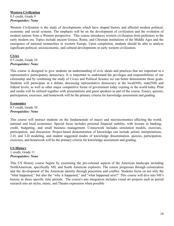## **Western Civilization**

0.5 credit, Grade 9 *Prerequisites: None*

Western Civilization is the study of developments which have shaped history and affected modern political, economic and social systems. The emphasis will be on the development of civilization and the evolution of modern nations from a Western perspective. This course introduces western civilization from prehistory to the early modern era. Topics include ancient Greece, Rome, and Christian institutions of the Middle Ages and the emergence of national monarchies in western Europe. Upon completion, students should be able to analyze significant political, socioeconomic, and cultural developments in early western civilization.

## **Civics** 0.5 credit, Grade 10 *Prerequisites: None*

This course is designed to give students an understanding of civic ideals and practices that are important in a representative participatory democracy. It is important to understand the privileges and responsibilities of our citizenship and by combining the study of Civics and Political Science we can better demonstrate those goals. Students will participate in a debate, discussing representative democracy at the local(NH), state(NH) and federal levels, as well as other major competitive forms of government today existing in the world today. Print and media will be utilized together with presentations and guest speakers as part of the course. Essays, quizzes, participation, exercises, and homework will be the primary criteria for knowledge assessment and grading.

#### **Economics** 0.5 credit, Grade 10 *Prerequisites: None*

This course will instruct students on the fundamentals of macro and microeconomics affecting the world, national and local economies. Special focus includes personal financial stability, with lessons in banking, credit, budgeting, and small business management. Coursework includes simulation models, exercises, participation, and discussion. Project-based demonstration of knowledge can include artistic interpretations, 2-D, and 3-D modeling, and student suggested modes of knowledge dissemination. quizzes, participation, exercises, and homework will be the primary criteria for knowledge assessment and grading.

**US History** 1 credit, Grade 11 *Prerequisites: None*

This US History course begins by examining the pre-colonial aspects of the American landscape including NorthAmerican, specifically NH, and South American explorers. The course progresses through colonization and the development of the American identity through peacetime and conflict. Students focus on not only the "what happened," but also the "why it happened," and "what happened next?" This course will dive into NH's history in these specific time periods. The course's arts integration includes visual art projects such as period research into art styles, music, and Theatre expression when possible.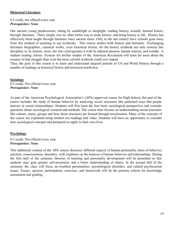## **Historical Literature**

0.5 credit, not offered every year *Prerequisites: None*

Our ancient young predecessors, sitting by candlelight or lamplight, reading history, actually learned history through literature. There simply was no other better way to study history–and bring history to life. History has effectively been taught through literature since ancient times. Only in the last century have schools gone away from this method of teaching to use textbooks. This course studies both history and literature. Exchanging literature–biographies, classical works, even historical fiction, for the history textbook not only restores this discipline to its historic roots, but also reinvigorates it with its inherent passion, human interest, and wonder. A student reading *Johnny Tremain* for his/her studies of the American Revolution will learn far more about the essence of that struggle than even the most colorful textbook could ever impart.

Thus, the goal of this course is to learn and understand targeted periods of US and World History through a number of readings in historical fiction and historical nonfiction.

**Sociology** 0.5 credit, Not offered every year *Prerequisites: None*

As part of the American Psychological Association's (APA) approved course for High School, this part of the course includes the study of human behavior by analyzing social structures (the patterned ways that people interact in social relationships). Students will first learn the four basic sociological perspectives and consider questions about sociological research and methods. The course then focuses on understanding social structures like culture, status, groups and how those structures are formed through socialization. Many of the concepts of the course are explained using modern era readings and video. Students will have an opportunity to consider how sociological concepts and perspectives apply to their own lives.

## **Psychology**

0.5 credit, Not offered every year *Prerequisites: None*

This additional content of the APA course discusses different aspects of human personality, basis of behavior, emotion, consciousness, disorders, with emphasis on the analysis of human behavior and relationships. During the first half of the semester, theories of learning and personality development will be presented so that students may gain greater self-awareness and a better understanding of others. In the second half of the semester, the class will focus on troubled personalities, psychological disorders, and related psychosocial issues. Essays, quizzes, participation, exercises, and homework will be the primary criteria for knowledge assessment and grading.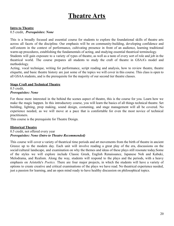# **Theatre Arts**

## <span id="page-20-0"></span>**Intro to Theatre**

0.5 credit, *Prerequisites: None*

This is a broadly focused and essential course for students to explore the foundational skills of theatre arts across all facets of the discipline. Our emphasis will be on community-building, developing confidence and self-esteem in the context of performance, cultivating presence in front of an audience, learning traditional warm-up procedures, establishing the fundamentals of acting, and studying essential theatrical terminology.

Students will gain exposure to a variety of types of theatre, as well as a taste of every sort of role and job in the theatrical world. The course prepares all students to study the craft of theatre in GSAA's model and methodology.

Acting, vocal technique, writing for performance, script reading and analysis, how to review theatre, theatre etiquette, and basic theatre history are just some of the topics we will cover in this course. This class is open to all GSAA students, and is the prerequisite for the majority of our second tier theatre classes.

## **Stage Craft and Technical Theatre**

0.5 credit, *Prerequisites: None*

For those more interested in the behind the scenes aspect of theatre, this is the course for you. Learn how we make the magic happen. In this introductory course, you will learn the basics of all things technical theatre. Set building, lighting, prop making, sound design, costuming, and stage management will all be covered. No experience needed, as we will move at a pace that is comfortable for even the most novice of technical practitioners.

This course is the prerequisite for Theatre Design.

## **Historical Theatre**

0.5 credit, not offered every year *Prerequisites: None (Intro to Theatre Recommended)*

This course will cover a variety of theatrical time periods and art movements from the birth of theatre in ancient Greece up to the modern day. Each unit will involve reading a great play of the era, discussions on the social/cultural landscape, and examination on why the themes and ideas of these plays still resonate today.Some of the styles we will explore include Classic Greek, English Renaissance, Japanese Noh and Kabuki, Melodrama, and Realism. Along the way, students will respond to the plays and the periods, with a heavy emphasis on Aristotle's *Poetics.* There are four major projects, in which the students will have a variety of options to create creative and critical examinations of the plays we have read. No theatrical experience needed, just a passion for learning, and an open mind ready to have healthy discussion on philosophical topics.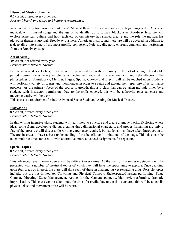## **History of Musical Theatre**

## 0.5 credit, offered every other year *Prerequisites: None (Intro to Theatre recommended)*

What is the only true American art form? Musical theatre! This class covers the beginnings of the American musical, with minstrel songs and the age of vaudeville, up to today's blockbuster Broadway hits. We will explore American culture and how each era of our history has shaped theatre and the role the musical has played in theater's survival. Broadway business, American history, and literature will be covered, in addition to a deep dive into some of the most prolific composers, lyricists, directors, chorogrogprahers, and performers from the Broadway stage.

## **Art of Acting**

.05 credit, not offered every year *Prerequisites: Intro to Theatre*

In this advanced level class, students will explore and begin their mastery of the art of acting. This double period course places heavy emphasis on technique, vocal skill, scene analysis, and self-reflection. The philosophies of Stanislavsky, Meisner, Hagen, Spolin, Chekov and Brecht will all be touched upon. Students will perform a variety of scenes and monologues in order to stretch and expand their repertoire of performance prowess. As the primary focus of the course is growth, this is a class that can be taken multiple times by a student, with instructor permission. Due to the skills covered, this will be a heavily physical class and movement attire will be worn.

This class is a requirement for both Advanced Scene Study and Acting for Musical Theatre.

## **Playwriting**

0.5 credit, offered every other year *Prerequisites: Intro to Theatre*

In this writing intensive class, students will learn how to structure and create dramatic works. Exploring where ideas come from, developing dialog, creating three-dimensional characters, and proper formatting are only a few of the areas we will discuss. No writing experience required, but students must have taken Introduction to Theatre in order to have a base-understanding of the benefits and limitations of the stage. This class can be taken multiple times for credit - with alternative, more advanced assignments for repeaters.

## **Special Topics**

0.5 credit, offered every other year *Prerequisites: Intro to Theatre*

This advanced level theatre course will be different every time. At the start of the semester, students will be presented with a number of theatrical topics of which they will have the opportunity to explore. Once deciding upon four areas of interest, the class will dive each of these in challenging yet rewarding units. Possible topics include, but are not limited to: Clowning and Physical Comedy, Shakespeare/Classical performing, Stage Combat, Directing, Stage Management, Acting for the Camera, puppetry, high style performing, dramatic improvisation. This class can be taken multiple times for credit. Due to the skills covered, this will be a heavily physical class and movement attire will be worn.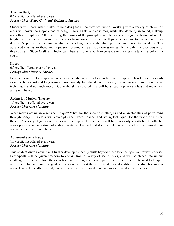## **Theatre Design**

## 0.5 credit, not offered every year *Prerequisites: Stage Craft and Technical Theatre*

Students will learn what it takes to be a designer in the theatrical world. Working with a variety of plays, this class will cover the major areas of design - sets, lights, and costumes, while also dabbling in sound, makeup, and other disciplines. After covering the basics of the principles and elements of design, each student will be taught the creative process in how one goes from concept to creation. Topics include how to read a play from a designer's perspective, communicating your ideas, the collaborative process, and presentation skills. This advanced class is for those with a passion for producing artistic expression. While the only true prerequisite for this course is Stage Craft and Technical Theatre, students with experience in the visual arts will excel in this class.

## **Improv**

0.5 credit, offered every other year *Prerequisites: Intro to Theatre*

Learn creative thinking, spontaneousness, ensemble work, and so much more in Improv. Class hopes to not only examine both short and long form improv comedy, but also devised theatre, character-driven improv rehearsal techniques, and so much more. Due to the skills covered, this will be a heavily physical class and movement attire will be worn.

## **Acting for Musical Theatre**

1.0 credit, not offered every year *Prerequisites: Art of Acting*

What makes acting in a musical unique? What are the specific challenges and characteristics of performing through song? This class will cover physical, vocal, dance, and acting techniques for the world of musical theatre. A variety of genres and styles will be explored, as students will build not only a portfolio of skills, but also a personalized repertoire of audition material. Due to the skills covered, this will be a heavily physical class and movement attire will be worn.

## **Advanced Scene Study**

1.0 credit, not offered every year *Prerequisites: Art of Acting*

This student-driven course will further develop the acting skills beyond those touched upon in previous courses. Participants will be given freedom to choose from a variety of scene styles, and will be placed into unique challenges to focus on how they can become a stronger actor and performer. Independent rehearsal techniques will be emphasized, and the goal will always be to test the students skills and abilities to be stretched in new ways. Due to the skills covered, this will be a heavily physical class and movement attire will be worn.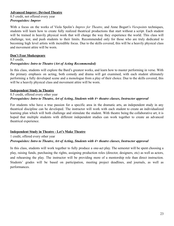## **Advanced Improv: Devised Theatre**

0.5 credit, not offered every year *Prerequisites: Improv*

With a focus on the works of Viola Spolin's *Improv for Theatre*, and Anne Bogart's *Viewpoints* techniques, students will learn how to create fully realized theatrical productions that start without a script. Each student will be trained in heavily physical work that will change the way they experience the world. This class will challenge, test, and push students to their limits. Recommended only for those who are truly dedicated to becoming high level artists with incredible focus. Due to the skills covered, this will be a heavily physical class and movement attire will be worn.

## **Don't Fear Shakespeare**

#### 0.5 credit, *Prerequisites: Intro to Theatre (Art of Acting Recommended)*

In this class, students will explore the Bard's greatest works, and learn how to master performing in verse. With the primary emphasis on acting, both comedy and drama will get examined, with each student ultimately performing a fully developed scene and a monologue from a play of their choice. Due to the skills covered, this will be a heavily physical class and movement attire will be worn.

## **Independent Study in Theatre**

## 0.5 credit, offered every other year *Prerequisites: Intro to Theatre, Art of Acting, Students with 4+ theatre classes, Instructor approval*

For students who have a true passion for a specific area in the dramatic arts, an independent study in any theatrical discipline can be developed. The instructor will work with each student to create an individualized learning plan which will both challenge and stimulate the student. With theatre being the collaborative art, it is hoped that multiple students with different independent studies can work together to create an advanced theatrical experience.

## **Independent Study in Theatre - Let's Make Theatre**

1 credit, offered every other year

## *Prerequisites: Intro to Theatre, Art of Acting, Students with 4+ theatre classes, Instructor approval*

In this class, students will work together to fully produce a one-act play. The semester will be spent choosing a play, raising funds, purchasing the rights, assigning production roles (director, designers, etc) as well as actors, and rehearsing the play. The instructor will be providing more of a mentorship role than direct instruction. Students' grades will be based on participation, meeting project deadlines, and journals, as well as performances.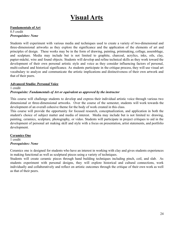## **Visual Arts**

## <span id="page-24-0"></span>**Fundamentals of Art**

0.5 credit *Prerequisites: None*

Students will experiment with various media and techniques used to create a variety of two-dimensional and three-dimensional artworks as they explore the significance and the application of the elements of art and principles of design. These works may be in the form of drawing, painting, printmaking, collage, assemblage, and sculpture. Media may include but is not limited to graphite, charcoal, acrylics, inks, oils, clay, papier-mâché, wire and found objects. Students will develop and refine technical skills as they work toward the development of their own personal artistic style and voice as they consider influencing factors of personal, multi-cultural and historical significance. As students participate in the critique process, they will use visual art vocabulary to analyze and communicate the artistic implications and distinctiveness of their own artwork and that of their peers.

## **Advanced Studio: Personal Voice**

1 credit *Prerequisite: Fundamentals of Art or equivalent as approved by the instructor*

This course will challenge students to develop and express their individual artistic voice through various two dimensional or three-dimensional artworks. Over the course of the semester, students will work towards the development of an overall cohesive theme for the body of work created in this class.

This course will provide the opportunity for focused research, conceptualization, and application in both the student's choice of subject matter and media of interest. Media may include but is not limited to: drawing, painting, ceramics, sculpture, photography, or video. Students will participate in project critiques to aid in the development of personal art making skill and style with a focus on presentation, artist statements, and portfolio development.

## **Ceramics One**

1 credit *Prerequisites: None*

Ceramics one is designed for students who have an interest in working with clay and gives students experiences in making functional as well as sculptural pieces using a variety of techniques.

Students will create ceramic pieces through hand building techniques including pinch, coil, and slab. As students experiment with personal designs, they will explore historical and cultural connections, work individually and collaboratively and reflect on artistic outcomes through the critique of their own work as well as that of their peers.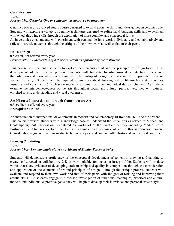## **Ceramics Two** 1 credit *Prerequisite: Ceramics One or equivalent as approved by instructor*

Ceramics two is an advanced studio course designed to expand upon the skills and ideas gained in ceramics one. Students will explore a variety of ceramic techniques designed to refine hand building skills and experiment with wheel throwing skills through the exploration of more complex and conceptual forms.

As in ceramics one, students will experiment with personal designs, work individually and collaboratively and reflect on artistic outcomes through the critique of their own work as well as that of their peers.

## **House Design**

0.5 credit, not offered every year *Prerequisite: Fundamentals of Art or equivalent as approved by the instructor*

This course will challenge students to explore the elements of art and the principles of design to aid in the development of the creative process. Students will translate two-dimensional architectural plans into three-dimensional form while considering the relationship of design elements and the impact they have on aesthetic quality. Students will be required to employ critical thinking and problem-solving skills as they visualize and construct a ¼ inch scale model of a home from their individual design schemes. As students examine the interconnectedness of the arts throughout social and cultural perspectives, they will gain an enriched artistic understanding and visual awareness.

## **Art History: Impressionism through Contemporary Art**

0.5 credit, not offered every year **Prerequisites: None**

An introduction to international developments in modern and contemporary art from the 1860's to the present This course provides students with a knowledge base to understand the visual arts as related to Modern and Contemporary Art. Discussion is centered on world art of the twentieth century, including Modernism to Postmodernism.Students explore the forms, meanings, and purposes of art in this introductory course. Consideration is given to various media, techniques, styles, and content within historical and cultural contexts.

## **Drawing & Painting**

1 credit *Prerequisites: Fundamentals of Art and Advanced Studio: Personal Voice*

Students will demonstrate proficiency in the conceptual development of content in drawing and painting to create self-directed or collaborative 2-D artwork suitable for inclusion in a portfolio. Students will produce works that show evidence of developing craftsmanship and quality in composition through the consideration and application of the elements of art and principles of design. Through the critique process, students will evaluate and respond to their own work and that of their peers with the goal of refining and improving their artistic skills. As students engage in a focused investigation of traditional techniques, historical and cultural models, and individual expressive goals, they will begin to develop their individual and personal artistic style.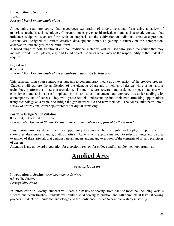#### **Introduction to Sculpture** 1 credit *Prerequisites: Fundamentals of Art*

A beginning sculpture course that encourages exploration of three-dimensional form using a variety of materials, methods and techniques. Concentration is given to historical, cultural and aesthetic contexts that influence sculpture as an art form with an emphasis on the cultivation of individual creative expression. Lessons are designed to initiate creative development aimed at gaining a fluency in the composition, observation, and analysis of sculptural form.

A broad range of both traditional and non-traditional materials will be used throughout the course that may include: wood, metal, plaster, clay and found objects; some of which may be the responsibility of the student to acquire.

## **Digital Art** 0.5 credit *Prerequisites: Fundamentals of Art or equivalent approved by instructor*

This semester long course introduces students to contemporary media as an extension of the creative process. Students will explore the application of the elements of art and principles of design while using various technology platforms as media in artmaking. Through lecture, research and assigned projects, students will consider cultural and historical implications on various art movements and compare this understanding with contemporary art influences. They will synthesize this understanding into their own artmaking opportunities using technology as a vehicle to bridge the gap between old and new methods. The course culminates into a survey of professional career opportunities for digital artmaking.

## **Portfolio Design & Presentation**

0.5 credit, not offered every year *Prerequisite: Advanced Studio: Personal Voice or equivalent as approved by the instructor*

This course provides students with an opportunity to construct both a digital and a physical portfolio that showcases their success and growth as artists. Students will explore methods to select, arrange and display examples of their artwork that demonstrate an understanding and execution of the elements of art and principles of design.

<span id="page-26-0"></span>Attention is given toward preparation for a portfolio review for college and/or employment opportunities.

# **Applied Arts**

## **Sewing Courses**

**Introduction to Sewing** *(previously names Sewing)* 0.5 credit, elective *Prerequisite: None*

In Introduction to Sewing, students will learn the basics of sewing, from hand to machine, including various stitches and seam finishes. Students will build a solid sewing foundation and will complete at least 10 sewing projects. Students will build the knowledge and the confidence needed to continue a study in sewing.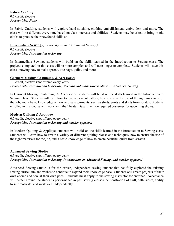## **Fabric Crafting** 0.5 credit, elective *Prerequisite: None*

In Fabric Crafting, students will explore hand stitching, clothing embellishment, embroidery and more. The class will be different every time based on class interests and abilities. Students may be asked to bring in old cloths to practice their newfound skills on.

## **Intermediate Sewing** *(previously named Advanced Sewing)*

0.5 credit, elective *Prerequisite: Introduction to Sewing*

In Intermediate Sewing, students will build on the skills learned in the Introduction to Sewing class. The projects completed in this class will be more complex and will take longer to complete. Students will leave this class knowing how to make aprons, tote bags, quilts, and more.

## **Garment Making, Costuming, & Accessories**

1.0 credit, elective (not offered every year) *Prerequisite: Introduction to Sewing, Recommendation: Intermediate or Advanced Sewing* 

In Garment Making, Costuming, & Accessories, students will build on the skills learned in the Introduction to Sewing class. Students will learn how to read a garment pattern, how to ensure the use of the right materials for the job, and a basic knowledge of how to create garments, such as shirts, pants and skirts from scratch. Students enrolled in this course will work with the Theater Department on required costumes for upcoming shows.

## **Modern Quilting & Applique**

0.5 credit, elective (not offered every year) *Prerequisite: Introduction to Sewing and teacher approval*

In Modern Quilting & Applique, students will build on the skills learned in the Introduction to Sewing class. Students will learn how to create a variety of different quilting blocks and techniques, how to ensure the use of the right materials for the job, and a basic knowledge of how to create beautiful quilts from scratch.

## **Advanced Sewing Studio**

0.5 credit, elective (not offered every year) *Prerequisite: Introduction to Sewing, Intermediate or Advanced Sewing, and teacher approval*

Advanced Sewing Studio is for the driven, independent sewing student that has fully explored the existing sewing curriculum and wishes to continue to expand their knowledge base. Students will create projects of their own choice and sew at their own pace. Students must apply to the sewing instructor for entrance. Acceptance will center around the student's performance in past sewing classes, demonstration of skill, enthusiasm, ability to self motivate, and work well independently.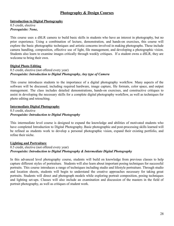## **Photography & Design Courses**

#### **Introduction to Digital Photography**

0.5 credit, elective *Prerequisite: None,*

This course uses a dSLR camera to build basic skills in students who have an interest in photography, but no prior experience. Using a combination of lecture, demonstration, and hands-on exercises, this course will explore the basic photographic techniques and artistic concerns involved in making photographs. These include camera handling, composition, effective use of light, file management, and developing a photographic vision. Students also learn to examine images critically through weekly critiques. If a student owns a dSLR, they are welcome to bring their own.

## **Digital Photo Editing**

#### 0.5 credit, elective (not offered every year) *Prerequisite: Introduction to Digital Photography, Any type of Camera*

This course introduces students to the importance of a digital photography workflow. Many aspects of the software will be discussed, including required hardware, image capture, file formats, color space, and output management. The class includes detailed demonstrations, hands-on exercises, and constructive critiques to assist in developing the necessary skills for a complete digital photography workflow, as well as techniques for photo editing and retouching.

#### **Intermediate Digital Photography**

0.5 credit, elective *Prerequisite: Introduction to Digital Photography*

This intermediate level course is designed to expand the knowledge and abilities of motivated students who have completed Introduction to Digital Photography. Basic photographic and post-processing skills learned will be refined as students work to develop a personal photographic vision, expand their existing portfolio, and refine their niche.

## **Lighting and Portraiture**

## 0.5 credit, elective (not offered every year) *Prerequisite: Introduction to Digital Photography & Intermediate Digital Photography*

In this advanced level photography course, students will build on knowledge from previous classes to help capture different styles of portraiture. Students will also learn about important posing techniques for successful portraits. This course introduces a range of techniques including studio and lifestyle portraiture. Through studio and location shoots, students will begin to understand the creative approaches necessary for taking great portraits. Students will direct and photograph models while exploring portrait composition, posing techniques and lighting set-ups. Classes will also include an examination and discussion of the masters in the field of portrait photography, as well as critiques of student work.